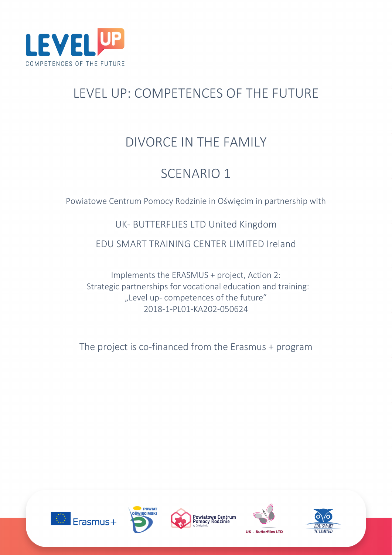

# LEVEL UP: COMPETENCES OF THE FUTURE

# DIVORCE IN THE FAMILY

# SCENARIO 1

Powiatowe Centrum Pomocy Rodzinie in Oświęcim in partnership with

## UK- BUTTERFLIES LTD United Kingdom

### EDU SMART TRAINING CENTER LIMITED Ireland

Implements the ERASMUS + project, Action 2: Strategic partnerships for vocational education and training: "Level up- competences of the future" 2018-1-PL01-KA202-050624

The project is co-financed from the Erasmus + program









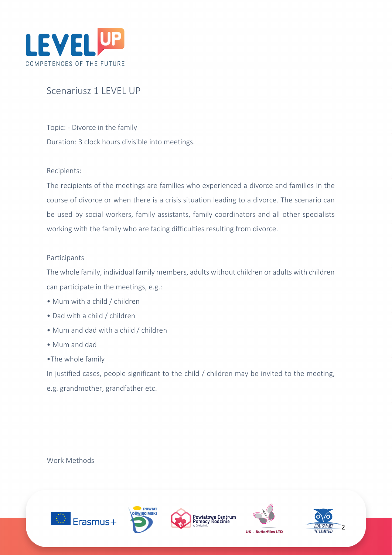

### Scenariusz 1 LEVEL UP

Topic: - Divorce in the family Duration: 3 clock hours divisible into meetings.

#### Recipients:

The recipients of the meetings are families who experienced a divorce and families in the course of divorce or when there is a crisis situation leading to a divorce. The scenario can be used by social workers, family assistants, family coordinators and all other specialists working with the family who are facing difficulties resulting from divorce.

#### Participants

The whole family, individual family members, adults without children or adults with children can participate in the meetings, e.g.:

- Mum with a child / children
- Dad with a child / children
- Mum and dad with a child / children
- Mum and dad
- •The whole family

In justified cases, people significant to the child / children may be invited to the meeting, e.g. grandmother, grandfather etc.

Work Methods









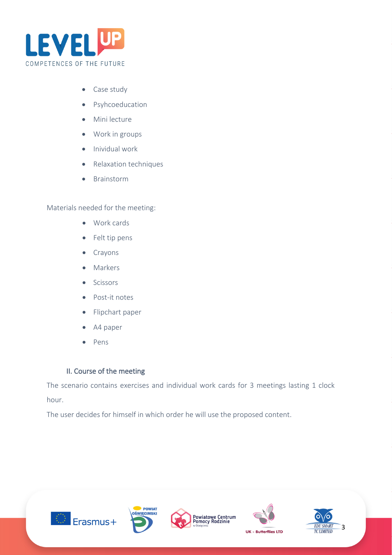

- Case study
- Psyhcoeducation
- Mini lecture
- Work in groups
- Inividual work
- Relaxation techniques
- Brainstorm

Materials needed for the meeting:

- Work cards
- Felt tip pens
- Crayons
- Markers
- Scissors
- Post-it notes
- Flipchart paper
- A4 paper
- Pens

### II. Course of the meeting

The scenario contains exercises and individual work cards for 3 meetings lasting 1 clock hour.

The user decides for himself in which order he will use the proposed content.









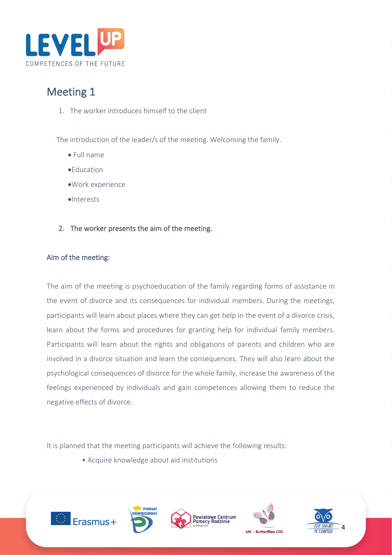

# Meeting 1

1. The worker introduces himself to the client

The introduction of the leader/s of the meeting. Welcoming the family.

- Full name
- •Education
- •Work experience
- •Interests
- 2. The worker presents the aim of the meeting.

### Aim of the meeting:

The aim of the meeting is psychoeducation of the family regarding forms of assistance in the event of divorce and its consequences for individual members. During the meetings, participants will learn about places where they can get help in the event of a divorce crisis, learn about the forms and procedures for granting help for individual family members. Participants will learn about the rights and obligations of parents and children who are involved in a divorce situation and learn the consequences. They will also learn about the psychological consequences of divorce for the whole family, increase the awareness of the feelings experienced by individuals and gain competences allowing them to reduce the negative effects of divorce.

It is planned that the meeting participants will achieve the following results:

• Acquire knowledge about aid institutions









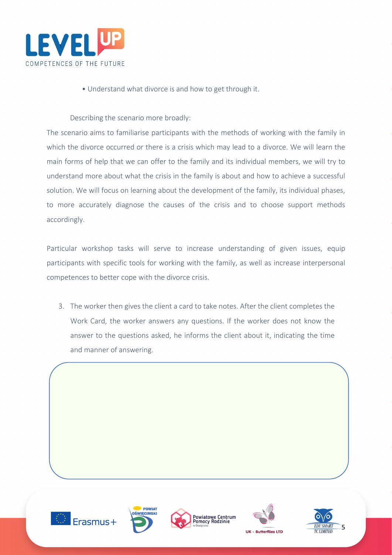

• Understand what divorce is and how to get through it.

Describing the scenario more broadly:

The scenario aims to familiarise participants with the methods of working with the family in which the divorce occurred or there is a crisis which may lead to a divorce. We will learn the main forms of help that we can offer to the family and its individual members, we will try to understand more about what the crisis in the family is about and how to achieve a successful solution. We will focus on learning about the development of the family, its individual phases, to more accurately diagnose the causes of the crisis and to choose support methods accordingly.

Particular workshop tasks will serve to increase understanding of given issues, equip participants with specific tools for working with the family, as well as increase interpersonal competences to better cope with the divorce crisis.

3. The worker then gives the client a card to take notes. After the client completes the Work Card, the worker answers any questions. If the worker does not know the answer to the questions asked, he informs the client about it, indicating the time and manner of answering.









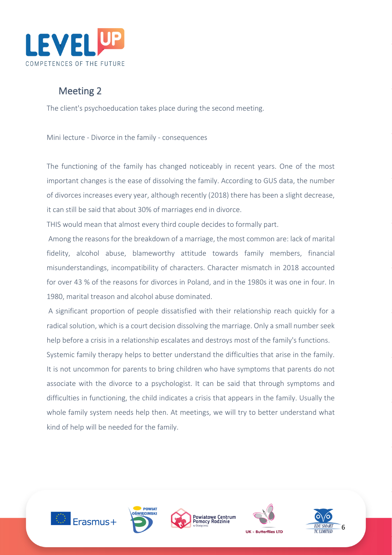

## Meeting 2

The client's psychoeducation takes place during the second meeting.

Mini lecture - Divorce in the family - consequences

The functioning of the family has changed noticeably in recent years. One of the most important changes is the ease of dissolving the family. According to GUS data, the number of divorces increases every year, although recently (2018) there has been a slight decrease, it can still be said that about 30% of marriages end in divorce.

THIS would mean that almost every third couple decides to formally part.

Among the reasons for the breakdown of a marriage, the most common are: lack of marital fidelity, alcohol abuse, blameworthy attitude towards family members, financial misunderstandings, incompatibility of characters. Character mismatch in 2018 accounted for over 43 % of the reasons for divorces in Poland, and in the 1980s it was one in four. In 1980, marital treason and alcohol abuse dominated.

A significant proportion of people dissatisfied with their relationship reach quickly for a radical solution, which is a court decision dissolving the marriage. Only a small number seek help before a crisis in a relationship escalates and destroys most of the family's functions.

Systemic family therapy helps to better understand the difficulties that arise in the family. It is not uncommon for parents to bring children who have symptoms that parents do not associate with the divorce to a psychologist. It can be said that through symptoms and difficulties in functioning, the child indicates a crisis that appears in the family. Usually the whole family system needs help then. At meetings, we will try to better understand what kind of help will be needed for the family.









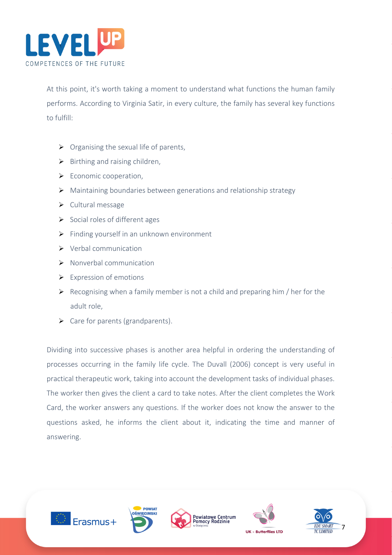

At this point, it's worth taking a moment to understand what functions the human family performs. According to Virginia Satir, in every culture, the family has several key functions to fulfill:

- $\triangleright$  Organising the sexual life of parents,
- $\triangleright$  Birthing and raising children,
- $\triangleright$  Economic cooperation,
- Maintaining boundaries between generations and relationship strategy
- $\triangleright$  Cultural message
- $\triangleright$  Social roles of different ages
- $\triangleright$  Finding yourself in an unknown environment
- $\triangleright$  Verbal communication
- $\triangleright$  Nonverbal communication
- $\triangleright$  Expression of emotions
- $\triangleright$  Recognising when a family member is not a child and preparing him / her for the adult role,
- $\triangleright$  Care for parents (grandparents).

Dividing into successive phases is another area helpful in ordering the understanding of processes occurring in the family life cycle. The Duvall (2006) concept is very useful in practical therapeutic work, taking into account the development tasks of individual phases. The worker then gives the client a card to take notes. After the client completes the Work Card, the worker answers any questions. If the worker does not know the answer to the questions asked, he informs the client about it, indicating the time and manner of answering.









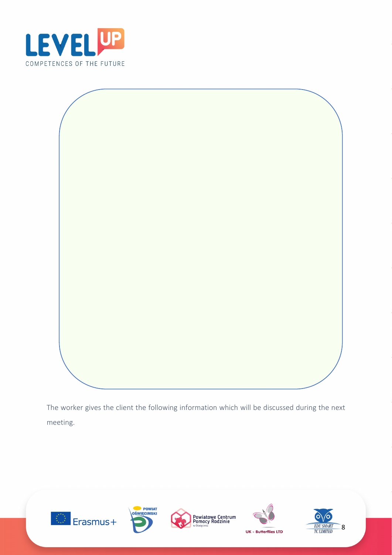



The worker gives the client the following information which will be discussed during the next meeting.









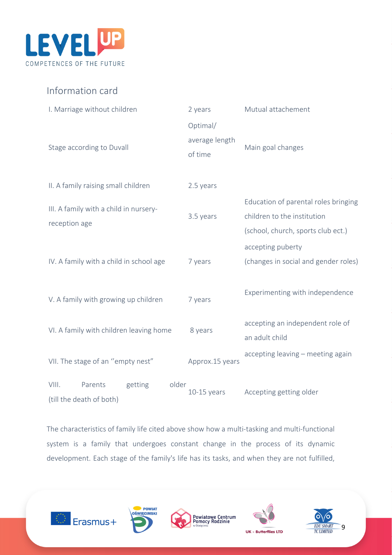

### Information card

| I. Marriage without children            | 2 years         | Mutual attachement                   |
|-----------------------------------------|-----------------|--------------------------------------|
|                                         | Optimal/        |                                      |
|                                         | average length  |                                      |
| Stage according to Duvall               | of time         | Main goal changes                    |
|                                         |                 |                                      |
| II. A family raising small children     | 2.5 years       |                                      |
|                                         |                 | Education of parental roles bringing |
| III. A family with a child in nursery-  | 3.5 years       | children to the institution          |
| reception age                           |                 | (school, church, sports club ect.)   |
|                                         |                 | accepting puberty                    |
| IV. A family with a child in school age | 7 years         | (changes in social and gender roles) |
|                                         |                 |                                      |
|                                         |                 | Experimenting with independence      |
| V. A family with growing up children    | 7 years         |                                      |
|                                         | 8 years         | accepting an independent role of     |
| VI. A family with children leaving home |                 | an adult child                       |
|                                         |                 | accepting leaving - meeting again    |
| VII. The stage of an "empty nest"       | Approx.15 years |                                      |
| older<br>VIII.<br>Parents<br>getting    |                 |                                      |
| (till the death of both)                | $10-15$ years   | Accepting getting older              |

The characteristics of family life cited above show how a multi-tasking and multi-functional system is a family that undergoes constant change in the process of its dynamic development. Each stage of the family's life has its tasks, and when they are not fulfilled,









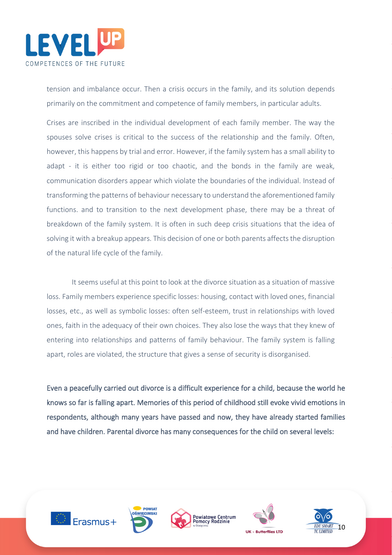

tension and imbalance occur. Then a crisis occurs in the family, and its solution depends primarily on the commitment and competence of family members, in particular adults.

Crises are inscribed in the individual development of each family member. The way the spouses solve crises is critical to the success of the relationship and the family. Often, however, this happens by trial and error. However, if the family system has a small ability to adapt - it is either too rigid or too chaotic, and the bonds in the family are weak, communication disorders appear which violate the boundaries of the individual. Instead of transforming the patterns of behaviour necessary to understand the aforementioned family functions. and to transition to the next development phase, there may be a threat of breakdown of the family system. It is often in such deep crisis situations that the idea of solving it with a breakup appears. This decision of one or both parents affects the disruption of the natural life cycle of the family.

It seems useful at this point to look at the divorce situation as a situation of massive loss. Family members experience specific losses: housing, contact with loved ones, financial losses, etc., as well as symbolic losses: often self-esteem, trust in relationships with loved ones, faith in the adequacy of their own choices. They also lose the ways that they knew of entering into relationships and patterns of family behaviour. The family system is falling apart, roles are violated, the structure that gives a sense of security is disorganised.

Even a peacefully carried out divorce is a difficult experience for a child, because the world he knows so far is falling apart. Memories of this period of childhood still evoke vivid emotions in respondents, although many years have passed and now, they have already started families and have children. Parental divorce has many consequences for the child on several levels:









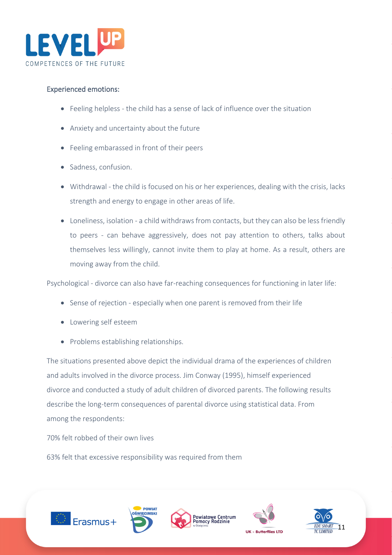

### Experienced emotions:

- Feeling helpless the child has a sense of lack of influence over the situation
- Anxiety and uncertainty about the future
- Feeling embarassed in front of their peers
- Sadness, confusion.
- Withdrawal the child is focused on his or her experiences, dealing with the crisis, lacks strength and energy to engage in other areas of life.
- Loneliness, isolation a child withdraws from contacts, but they can also be less friendly to peers - can behave aggressively, does not pay attention to others, talks about themselves less willingly, cannot invite them to play at home. As a result, others are moving away from the child.

Psychological - divorce can also have far-reaching consequences for functioning in later life:

- Sense of rejection especially when one parent is removed from their life
- Lowering self esteem
- Problems establishing relationships.

The situations presented above depict the individual drama of the experiences of children and adults involved in the divorce process. Jim Conway (1995), himself experienced divorce and conducted a study of adult children of divorced parents. The following results describe the long-term consequences of parental divorce using statistical data. From among the respondents:

70% felt robbed of their own lives

63% felt that excessive responsibility was required from them









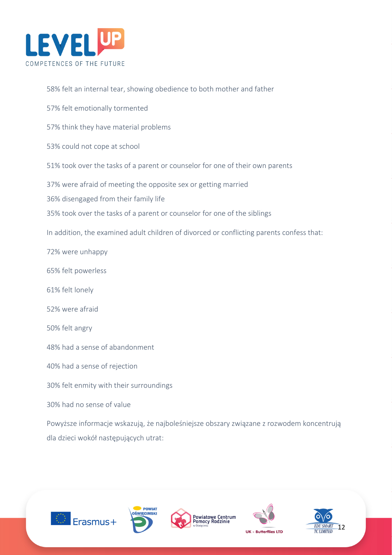

58% felt an internal tear, showing obedience to both mother and father

57% felt emotionally tormented

57% think they have material problems

53% could not cope at school

51% took over the tasks of a parent or counselor for one of their own parents

37% were afraid of meeting the opposite sex or getting married

36% disengaged from their family life

35% took over the tasks of a parent or counselor for one of the siblings

In addition, the examined adult children of divorced or conflicting parents confess that:

72% were unhappy

65% felt powerless

61% felt lonely

52% were afraid

50% felt angry

48% had a sense of abandonment

40% had a sense of rejection

30% felt enmity with their surroundings

30% had no sense of value

Powyższe informacje wskazują, że najboleśniejsze obszary związane z rozwodem koncentrują dla dzieci wokół następujących utrat:









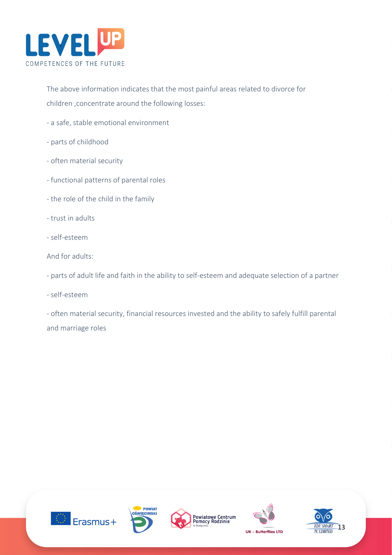

The above information indicates that the most painful areas related to divorce for children ,concentrate around the following losses:

- a safe, stable emotional environment
- parts of childhood
- often material security
- functional patterns of parental roles
- the role of the child in the family
- trust in adults
- self-esteem

And for adults:

- parts of adult life and faith in the ability to self-esteem and adequate selection of a partner

- self-esteem

- often material security, financial resources invested and the ability to safely fulfill parental and marriage roles









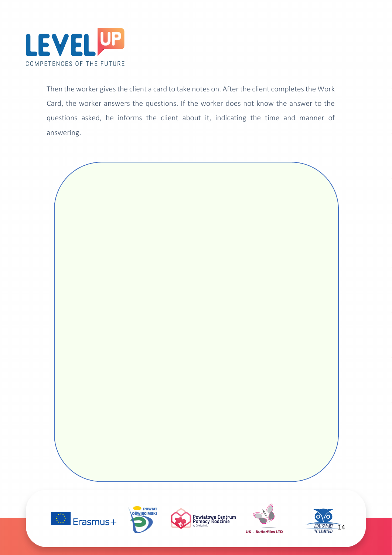

Then the worker gives the client a card to take notes on. After the client completes the Work Card, the worker answers the questions. If the worker does not know the answer to the questions asked, he informs the client about it, indicating the time and manner of answering.

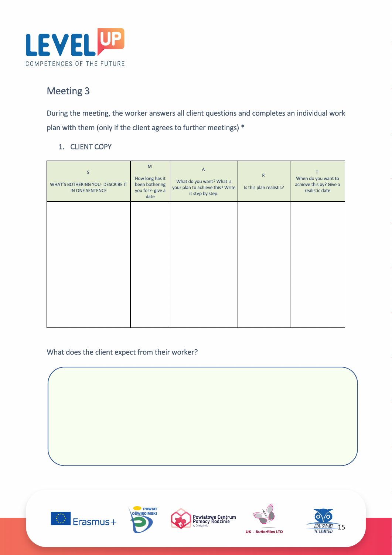

# Meeting 3

During the meeting, the worker answers all client questions and completes an individual work plan with them (only if the client agrees to further meetings) \*

### 1. CLIENT COPY

| M<br>How long has it<br>been bothering<br>you for?- give a<br>date | A<br>What do you want? What is<br>your plan to achieve this? Write<br>it step by step. | ${\sf R}$<br>Is this plan realistic? | т<br>When do you want to<br>achieve this by? Give a<br>realistic date |
|--------------------------------------------------------------------|----------------------------------------------------------------------------------------|--------------------------------------|-----------------------------------------------------------------------|
|                                                                    |                                                                                        |                                      |                                                                       |
|                                                                    |                                                                                        |                                      |                                                                       |
|                                                                    |                                                                                        |                                      |                                                                       |
|                                                                    | <b>WHAT'S BOTHERING YOU- DESCRIBE IT</b>                                               |                                      |                                                                       |

### What does the client expect from their worker?



client.<br>Client.

I

I

I







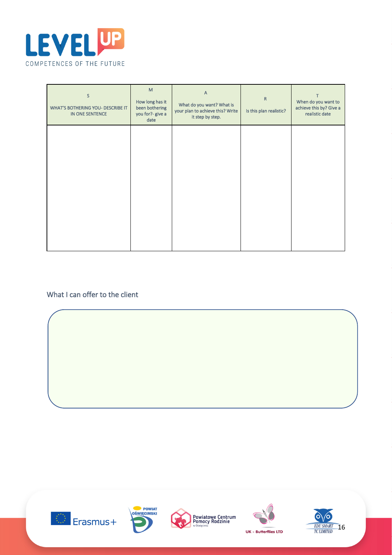

| S<br><b>WHAT'S BOTHERING YOU- DESCRIBE IT</b><br>IN ONE SENTENCE | M<br>How long has it<br>been bothering<br>you for?- give a<br>date | $\overline{A}$<br>What do you want? What is<br>your plan to achieve this? Write<br>it step by step. | ${\sf R}$<br>Is this plan realistic? | When do you want to<br>achieve this by? Give a<br>realistic date |
|------------------------------------------------------------------|--------------------------------------------------------------------|-----------------------------------------------------------------------------------------------------|--------------------------------------|------------------------------------------------------------------|
|                                                                  |                                                                    |                                                                                                     |                                      |                                                                  |
|                                                                  |                                                                    |                                                                                                     |                                      |                                                                  |
|                                                                  |                                                                    |                                                                                                     |                                      |                                                                  |

### What I can offer to the client

I

I

I

I









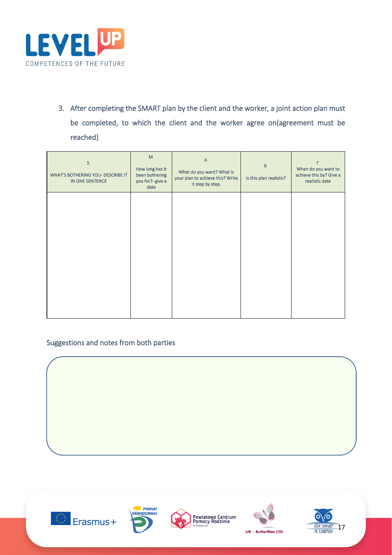

3. After completing the SMART plan by the client and the worker, a joint action plan must be completed, to which the client and the worker agree on(agreement must be reached)

| S<br><b>WHAT'S BOTHERING YOU- DESCRIBE IT</b><br>IN ONE SENTENCE | M<br>How long has it<br>been bothering<br>you for?- give a<br>date | $\overline{A}$<br>What do you want? What is<br>your plan to achieve this? Write<br>it step by step. | ${\sf R}$<br>Is this plan realistic? | When do you want to<br>achieve this by? Give a<br>realistic date |
|------------------------------------------------------------------|--------------------------------------------------------------------|-----------------------------------------------------------------------------------------------------|--------------------------------------|------------------------------------------------------------------|
|                                                                  |                                                                    |                                                                                                     |                                      |                                                                  |
|                                                                  |                                                                    |                                                                                                     |                                      |                                                                  |
|                                                                  |                                                                    |                                                                                                     |                                      |                                                                  |

### Suggestions and notes from both parties



j

I

I

I

l







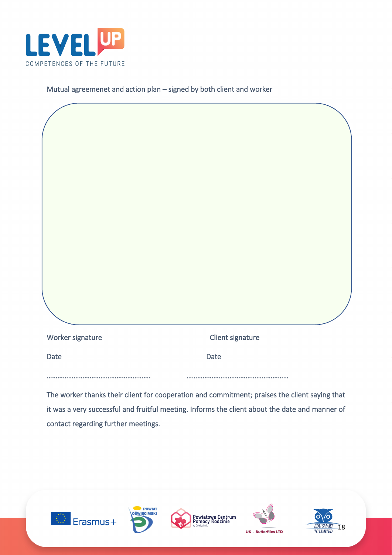

Mutual agreemenet and action plan – signed by both client and worker

| Worker signature                                                                              | Client signature |
|-----------------------------------------------------------------------------------------------|------------------|
| Date                                                                                          | Date             |
| The worker thanks their client for conneration and commitment: praises the client saving that |                  |

The worker thanks their client for cooperation and commitment; praises the client saying that it was a very successful and fruitful meeting. Informs the client about the date and manner of contact regarding further meetings.